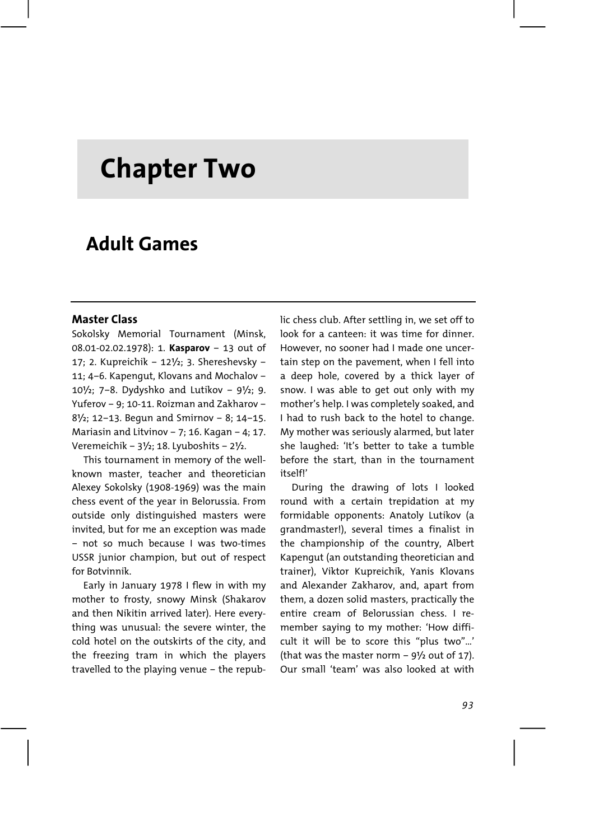# **Chapter Two**

## **Adult Games**

#### **Master Class**

Sokolsky Memorial Tournament (Minsk, 08.01-02.02.1978): 1. **Kasparov** – 13 out of 17; 2. Kupreichik – 12½; 3. Shereshevsky – 11; 4–6. Kapengut, Klovans and Mochalov – 10 $1/2$ ; 7–8. Dydyshko and Lutikov – 9 $1/2$ ; 9. Yuferov – 9; 10-11. Roizman and Zakharov – 8½; 12–13. Begun and Smirnov – 8; 14–15. Mariasin and Litvinov – 7; 16. Kagan – 4; 17. Veremeichik – 3½; 18. Lyuboshits – 2½.

This tournament in memory of the wellknown master, teacher and theoretician Alexey Sokolsky (1908-1969) was the main chess event of the year in Belorussia. From outside only distinguished masters were invited, but for me an exception was made – not so much because I was two-times USSR junior champion, but out of respect for Botvinnik.

Early in January 1978 I flew in with my mother to frosty, snowy Minsk (Shakarov and then Nikitin arrived later). Here everything was unusual: the severe winter, the cold hotel on the outskirts of the city, and the freezing tram in which the players travelled to the playing venue – the republic chess club. After settling in, we set off to look for a canteen: it was time for dinner. However, no sooner had I made one uncertain step on the pavement, when I fell into a deep hole, covered by a thick layer of snow. I was able to get out only with my mother's help. I was completely soaked, and I had to rush back to the hotel to change. My mother was seriously alarmed, but later she laughed: 'It's better to take a tumble before the start, than in the tournament itself!'

During the drawing of lots I looked round with a certain trepidation at my formidable opponents: Anatoly Lutikov (a grandmaster!), several times a finalist in the championship of the country, Albert Kapengut (an outstanding theoretician and trainer), Viktor Kupreichik, Yanis Klovans and Alexander Zakharov, and, apart from them, a dozen solid masters, practically the entire cream of Belorussian chess. I remember saying to my mother: 'How difficult it will be to score this "plus two"…' (that was the master norm  $-9\frac{1}{2}$  out of 17). Our small 'team' was also looked at with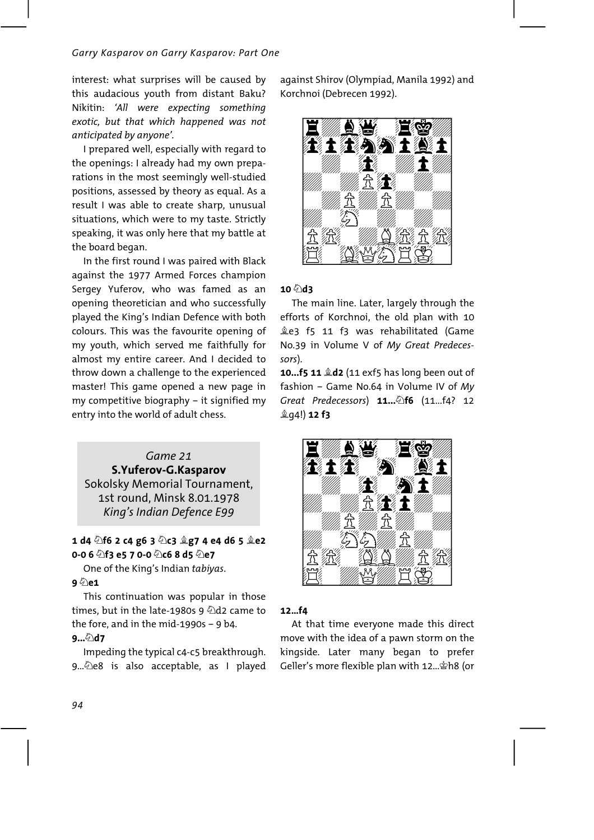interest: what surprises will be caused by this audacious youth from distant Baku? Nikitin: 'All were expecting something exotic, but that which happened was not anticipated by anyone'.

I prepared well, especially with regard to the openings: I already had my own preparations in the most seemingly well-studied positions, assessed by theory as equal. As a result I was able to create sharp, unusual situations, which were to my taste. Strictly speaking, it was only here that my battle at the board began.

In the first round I was paired with Black against the 1977 Armed Forces champion Sergey Yuferov, who was famed as an opening theoretician and who successfully played the King's Indian Defence with both colours. This was the favourite opening of my youth, which served me faithfully for almost my entire career. And I decided to throw down a challenge to the experienced master! This game opened a new page in my competitive biography - it signified my entry into the world of adult chess.

## Game 21 S. Yuferov-G. Kasparov Sokolsky Memorial Tournament. 1st round, Minsk 8.01.1978 King's Indian Defence E99

## 1 d4 2f6 2 c4 g6 3 2c3 2g7 4 e4 d6 5 2e2 0-0 6  $\textcircled{2}$ f3 e5 7 0-0  $\textcircled{2}$ c6 8 d5  $\textcircled{2}$ e7

One of the King's Indian tabiyas.

## 9 ©ිe1

This continuation was popular in those times, but in the late-1980s 9  $\triangle$ d2 came to the fore, and in the mid-1990s  $-$  9 b4.

## $9...$ 47

Impeding the typical c4-c5 breakthrough. 9... De8 is also acceptable, as I played against Shirov (Olympiad, Manila 1992) and Korchnoi (Debrecen 1992).



## $10\sqrt[6]{dx}$

The main line. Later, largely through the efforts of Korchnoi, the old plan with 10 Les f5 11 f3 was rehabilitated (Game No.39 in Volume V of My Great Predecessors).

10...f5 11 &d2 (11 exf5 has long been out of fashion - Game No.64 in Volume IV of My Great Predecessors) 11.... h6 (11...f4? 12 **鱼q4!) 12 f3** 



## $12...f4$

At that time everyone made this direct move with the idea of a pawn storm on the kingside. Later many began to prefer Geller's more flexible plan with 12... \$h8 (or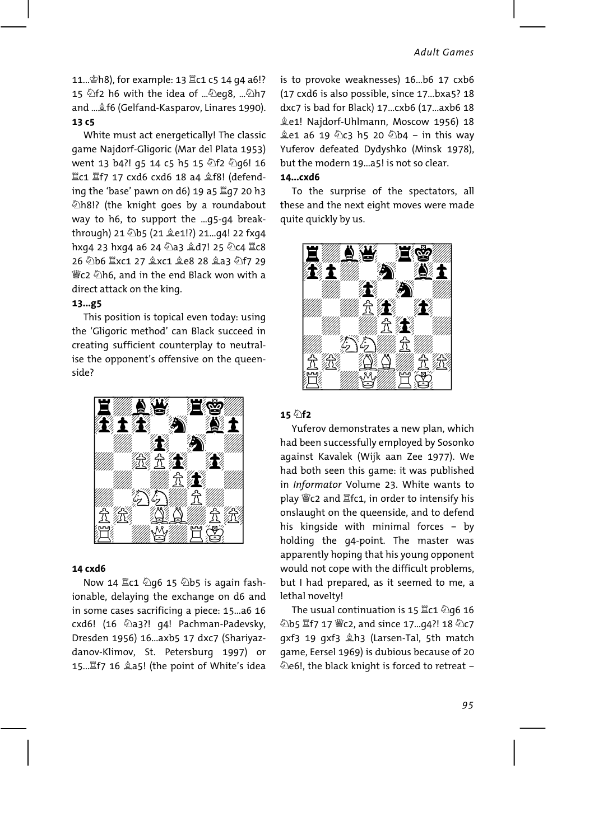11... \$h8), for example: 13 Kc1 c5 14 q4 a6!? 15 \f2 h6 with the idea of ... \eg8, ... \h7 and ... £f6 (Gelfand-Kasparov, Linares 1990). 13 c5

White must act energetically! The classic game Najdorf-Gligoric (Mar del Plata 1953) went 13 b4?! g5 14 c5 h5 15 4f2 4g6! 16 置c1 置f7 17 cxd6 cxd6 18 a4  $$$ f8! (defending the 'base' pawn on d6) 19 a5 骂q7 20 h3 Zh8!? (the knight goes by a roundabout way to h6, to support the ...q5-q4 breakthrough) 21 2b5 (21 2e1!?) 21...94! 22 fxg4 hxg4 23 hxg4 a6 24 2a3 gd7! 25 2c4 Ic8 26 2b6 Ixc1 27 gxc1 ge8 28 ga3 2f7 29 \{{\vau}{c2 ⊘h6, and in the end Black won with a direct attack on the king.

#### $13...g5$

This position is topical even today: using the 'Gligoric method' can Black succeed in creating sufficient counterplay to neutralise the opponent's offensive on the queenside?



#### 14 cxd6

Now 14 ac1 ② g6 15 ② b5 is again fashionable, delaying the exchange on d6 and in some cases sacrificing a piece: 15...a6 16 cxd6! (16 2a3?! q4! Pachman-Padevsky, Dresden 1956) 16. axb5 17 dxc7 (Shariyazdanov-Klimov, St. Petersburg 1997) or 15... Lf7 16 ga5! (the point of White's idea is to provoke weaknesses) 16...b6 17 cxb6 (17 cxd6 is also possible, since 17...bxa5? 18 dxc7 is bad for Black) 17...cxb6 (17...axb6 18 Le1! Najdorf-Uhlmann, Moscow 1956) 18  $2e1$  a6 19  $2c3$  h5 20  $2b4$  - in this way Yuferov defeated Dydyshko (Minsk 1978). but the modern 19 ... a 5! is not so clear.

#### $14...$  $cd6$

To the surprise of the spectators, all these and the next eight moves were made quite quickly by us.



#### $15 \hat{\varnothing}$ f<sub>2</sub>

Yuferov demonstrates a new plan, which had been successfully employed by Sosonko against Kavalek (Wijk aan Zee 1977). We had both seen this game: it was published in Informator Volume 23. White wants to play *We* c2 and *K*fc1, in order to intensify his onslaught on the queenside, and to defend his kingside with minimal forces - by holding the g4-point. The master was apparently hoping that his young opponent would not cope with the difficult problems, but I had prepared, as it seemed to me, a lethal novelty!

The usual continuation is 15 ac1 ② q6 16 ②b5 置f7 17 *We2*, and since 17...94?! 18 ②c7 gxf3 19 gxf3 &h3 (Larsen-Tal, 5th match game, Eersel 1969) is dubious because of 20 De6!, the black knight is forced to retreat -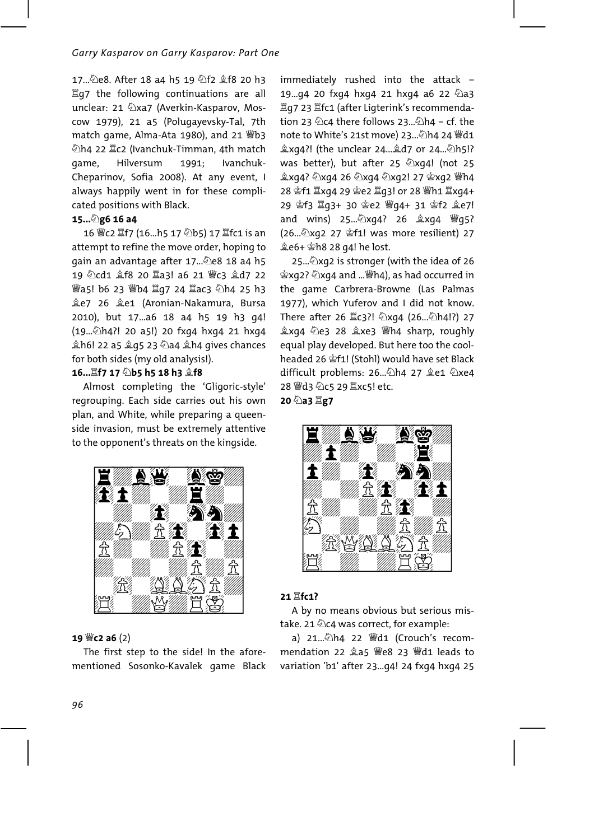17...2e8. After 18 a4 h5 19 公f2 拿f8 20 h3 置q7 the following continuations are all unclear: 21 2xa7 (Averkin-Kasparov, Moscow 1979), 21 a5 (Polugayevsky-Tal, 7th match game, Alma-Ata 1980), and 21 \biddot 公h4 22 Ic2 (Ivanchuk-Timman, 4th match Hilversum Ivanchukgame, 1991: Cheparinov, Sofia 2008). At any event, I always happily went in for these complicated positions with Black.

#### 15... 2g6 16 a4

16 曾c2 置f7 (16...h5 17 2b5) 17 置fc1 is an attempt to refine the move order, hoping to gain an advantage after 17... De8 18 a4 h5 19 公cd1 拿f8 20 罝a3! a6 21 彎c3 拿d7 22 響a5! b6 23 響b4 骂g7 24 骂ac3 公h4 25 h3 ĝe7 26 ĝe1 (Aronian-Nakamura, Bursa 2010), but 17...a6 18 a4 h5 19 h3 q4! (19. 2h4?! 20 a5!) 20 fxq4 hxq4 21 hxq4 鱼h6! 22 a5 鱼q5 23 ②a4 鱼h4 qives chances for both sides (my old analysis!).

## 16... lf7 17 2b5 h5 18 h3 2f8

Almost completing the 'Gligoric-style' regrouping. Each side carries out his own plan, and White, while preparing a queenside invasion, must be extremely attentive to the opponent's threats on the kingside.



## 19 彎c2 a6 (2)

The first step to the side! In the aforementioned Sosonko-Kavalek game Black immediately rushed into the attack -19...94 20 fxg4 hxg4 21 hxg4 a6 22 2a3 置q7 23 lfc1 (after Ligterink's recommendation 23  $\&$ c4 there follows 23... $\&$ h4 - cf. the note to White's 21st move) 23... 公h4 24 曾d1 盒xg4?! (the unclear 24... @d7 or 24... ②h5!? was better), but after 25 2xq4! (not 25 盒xq4? ②xq4 26 ②xq4 ②xq2! 27 含xq2 彎h4 28 曾f1 Ixg4 29 曾e2 Ig3! or 28 響h1 Ixg4+ (26... 2xq2 27 \f1! was more resilient) 27 

25...  $\Delta$ xg2 is stronger (with the idea of 26 拿xg2? ②xg4 and ... ("h4), as had occurred in the game Carbrera-Browne (Las Palmas 1977), which Yuferov and I did not know. There after 26 Xc3?! ②xq4 (26...②h4!?) 27 盒xg4 ②e3 28 盒xe3 彎h4 sharp, roughly equal play developed. But here too the coolheaded 26 \$f1! (Stohl) would have set Black difficult problems: 26... 2h4 27 ge1 2xe4 28 曾d3 2c5 29 Ixc5! etc.

20 2a3 Ig7



## 21 Ifc1?

A by no means obvious but serious mistake. 21 ©c4 was correct, for example:

mendation 22 2a5 \e8 23 \d1 leads to variation 'b1' after 23...94! 24 fx94 hx94 25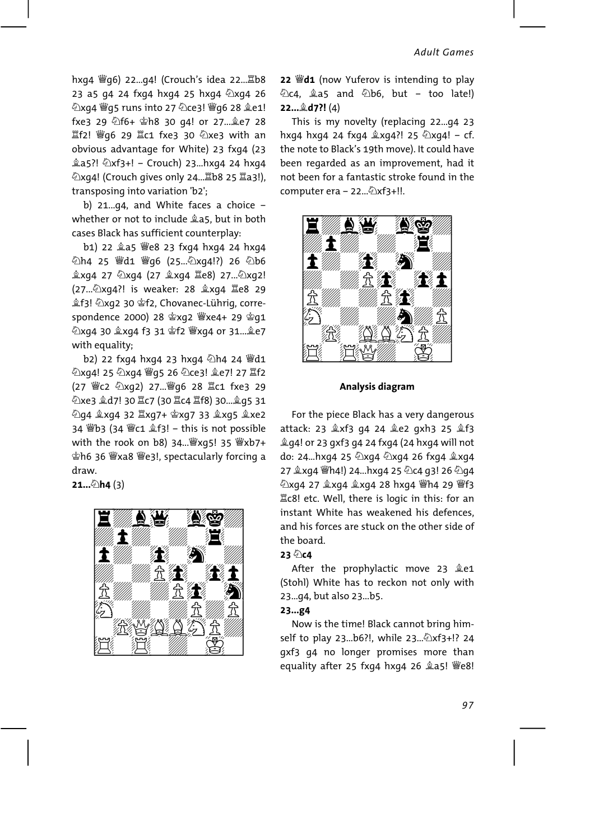hxq4 *Wg*6) 22...q4! (Crouch's idea 22... Eb8 23 a5 g4 24 fxg4 hxg4 25 hxg4 2xg4 26 公xq4 曾q5 runs into 27 公ce3! 曾q6 28 ge1! fxe3 29 4f6+ \$h8 30 q4! or 27... \$e7 28 置f2! 彎g6 29 置c1 fxe3 30 ②xe3 with an obvious advantage for White) 23 fxq4 (23 鱼a5?! ②xf3+! - Crouch) 23...hxg4 24 hxg4 ②xq4! (Crouch gives only 24... ab8 25 a3!), transposing into variation 'b2':

b) 21... $q4$ , and White faces a choice whether or not to include 245, but in both cases Black has sufficient counterplay:

b1) 22 盒a5 響e8 23 fxg4 hxg4 24 hxg4 公h4 25 曹d1 曹q6 (25...公xq4!?) 26 公b6 鱼xg4 27 ②xg4 (27 鱼xg4 里e8) 27...②xg2! (27... 2xg4?! is weaker: 28 gxg4 Ie8 29 鱼f3! 2xg2 30 查f2, Chovanec-Lührig, correspondence 2000) 28 含xg2 響xe4+ 29 含g1 with equality;

b2) 22 fxq4 hxq4 23 hxq4 2h4 24 Wd1 ②xq4! 25 ②xq4 曾q5 26 ②ce3! ge7! 27 置f2 (27 We2 2xg2) 27... Wg6 28 Ic1 fxe3 29 ②xe3 盒d7! 30 lc7 (30 lc4 lf8) 30... g5 31 ②g4 盒xg4 32 罝xg7+ 會xg7 33 盒xg5 盒xe2 34 響b3 (34 響c1 盒f3! - this is not possible with the rook on b8) 34... [28] xq5! 35 [28] xb7+ 望h6 36 Wyxa8 We3!, spectacularly forcing a draw

 $21...$ Dh4(3)



22  $\dddot{\mathbf{w}}$ d1 (now Yuferov is intending to play  $\&$ c4,  $\&$ a5 and  $\&$ b6, but - too late!) 22... d7?! (4)

This is my novelty (replacing 22...g4 23 hxg4 hxg4 24 fxg4  $\&$ xg4?! 25  $\&$ xg4! - cf. the note to Black's 19th move). It could have been regarded as an improvement, had it not been for a fantastic stroke found in the computer era - 22.... 2xf3+!!.



Analysis diagram

For the piece Black has a very dangerous attack: 23  $2xf3$  q4 24 2e2 qxh3 25 2f3 g q4! or 23 qxf3 q4 24 fxq4 (24 hxq4 will not do: 24...hxg4 25 2xg4 2xg4 26 fxg4 2xg4 Ec8! etc. Well, there is logic in this: for an instant White has weakened his defences. and his forces are stuck on the other side of the board.

#### 23 2c4

After the prophylactic move 23 &e1 (Stohl) White has to reckon not only with 23...94, but also 23...b5.

#### 23...g4

Now is the time! Black cannot bring himself to play 23...b6?!, while 23... $\&\text{xf3+}$ !? 24 gxf3 g4 no longer promises more than equality after 25 fxg4 hxg4 26 2a5! We8!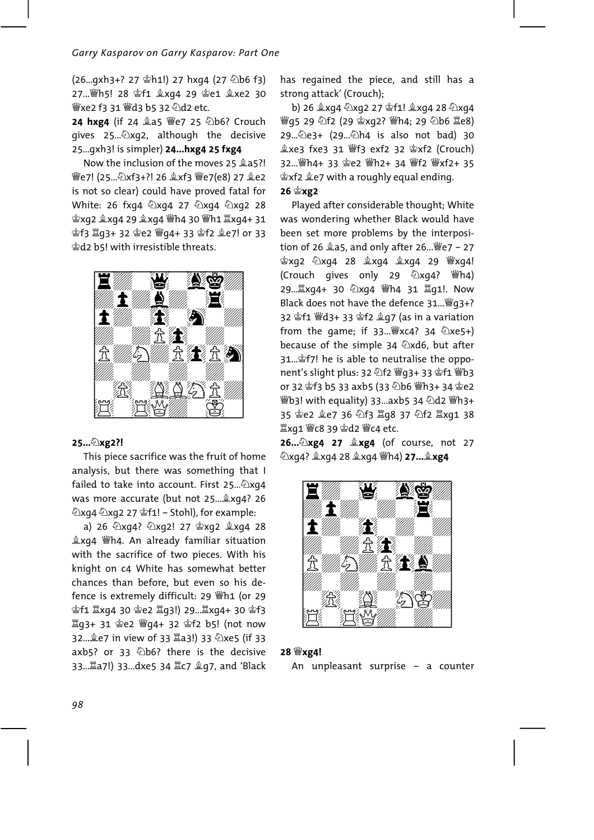27... 彎h5! 28 會f1 盒xg4 29 會e1 盒xe2 30 營xe2 f3 31 營d3 b5 32 2d2 etc.

24 hxg4 (if 24 盒a5 We7 25 2b6? Crouch gives 25... 2xg2, although the decisive 25...gxh3! is simpler) 24...hxg4 25 fxg4

Now the inclusion of the moves 25 2a5?! 營e7! (25... 公xf3+?! 26 盒xf3 營e7(e8) 27 盒e2 is not so clear) could have proved fatal for White: 26 fxg4 2xg4 27 2xg4 2xg2 28 **空f3 罝q3+ 32 空e2 曾q4+ 33 空f2 오e7! or 33** gd2 b5! with irresistible threats.



#### 25... 2xg2?!

This piece sacrifice was the fruit of home analysis, but there was something that I failed to take into account. First 25... 2xq4 was more accurate (but not 25... xg4? 26 <sup></sup> විxg4 විxg2 27 \$f1! – Stohl), for example:

a) 26 公xg4? 公xg2! 27 含xg2 盒xg4 28 盒xg4 *Wh4*. An already familiar situation with the sacrifice of two pieces. With his knight on c4 White has somewhat better chances than before, but even so his defence is extremely difficult: 29 Wh1 (or 29 拿f1 Ixq4 30 拿e2 Iq3!) 29... Ixq4+ 30 拿f3 32... e7 in view of 33 Ia3!) 33 2xe5 (if 33 axb5? or 33 2b6? there is the decisive 33... a7!) 33... dxe5 34 里c7 gq7, and 'Black has regained the piece, and still has a strong attack' (Crouch):

b) 26  $\&$ xq4  $\&$ xq2 27  $\&$ f1!  $\&$ xq4 28  $\&$ xq4 營g5 29 公f2 (29 含xg2? 營h4; 29 公b6 罩e8) 29... 2e3+ (29... 2h4 is also not bad) 30 32... 彎h4+ 33 含e2 彎h2+ 34 彎f2 彎xf2+ 35 含xf2 鱼e7 with a roughly equal ending.

#### 26 含xg2

Played after considerable thought; White was wondering whether Black would have been set more problems by the interposition of 26  $25$ , and only after 26...  $\degree$  e7 - 27 宫xq2 公xq4 28 盒xq4 盒xq4 29 曾xq4! (Crouch gives only 29 ②xg4? (s) Black does not have the defence 31... [g] g3+? 32 \$f1 \d3+ 33 \$f2 \$97 (as in a variation from the game; if  $33...$   $\frac{10}{2}$ xc4?  $34 \frac{2}{2}$ xe5+) because of the simple 34 2xd6, but after 31... \$f7! he is able to neutralise the opponent's slight plus: 32 公f2 曾g3+ 33 曾f1 曾b3 Wb3! with equality) 33...axb5 34 公d2 \Ch3+ 35 曾e2 皇e7 36 公f3 罝g8 37 公f2 罝xg1 38 

26... 2xg4 27 2xg4 (of course, not 27 ②xq4? 盒xq4 28 盒xq4 彎h4) 27... 盒xg4



#### 28 Wxg4!

An unpleasant surprise - a counter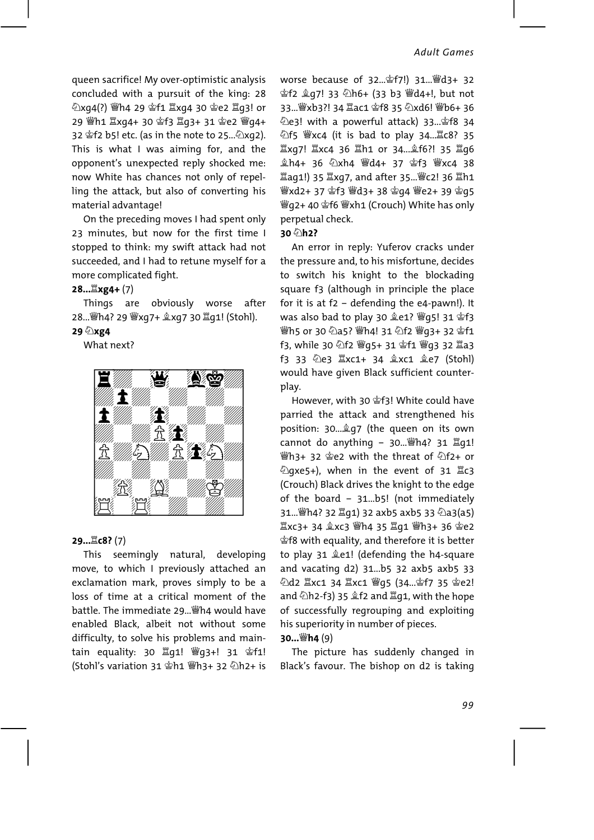queen sacrifice! My over-optimistic analysis concluded with a pursuit of the king: 28 ②xq4(?) 響h4 29 會f1 罝xq4 30 솥e2 罝q3! or 32 \$f2 b5! etc. (as in the note to 25... 2xg2). This is what I was aiming for, and the opponent's unexpected reply shocked me: now White has chances not only of repelling the attack, but also of converting his material advantage!

On the preceding moves I had spent only 23 minutes, but now for the first time I stopped to think: my swift attack had not succeeded, and I had to retune myself for a more complicated fight.

#### 28... Lxg4+ (7)

Things are obviously worse after 28... |h4? 29 |kxq7+ 2xq7 30 \_q1! (Stohl).

#### 29 2xg4

What next?



#### 29... LC8? (7)

This seemingly natural, developing move, to which I previously attached an exclamation mark, proves simply to be a loss of time at a critical moment of the hattle. The immediate 29... Wh4 would have enabled Black, albeit not without some difficulty, to solve his problems and maintain equality: 30 骂q1! | 曾q3+! 31 當f1! (Stohl's variation 31 gh1 | 山子 32 公h2+ is worse because of 32... \$f7!) 31... \$d3+ 32 空f2 鱼q7! 33 公h6+ (33 b3 曾d4+!, but not 33... 響xb3?! 34 罩ac1 會f8 35 公xd6! 響b6+ 36 ②e3! with a powerful attack) 33... \$f8 34 公f5 Wyc4 (it is bad to play 34... LC8? 35 罝xg7! 罝xc4 36 罝h1 or 34... 金f6?! 35 罝g6 鱼h4+ 36 ②xh4 Wd4+ 37 宫f3 Wxc4 38 Iaq1!) 35 Ixq7, and after 35... Wc2! 36 Ih1 營xd2+ 37 宮f3 營d3+ 38 宫q4 營e2+ 39 宫q5 彎q2+40 含f6 彎xh1 (Crouch) White has only perpetual check.

#### 30 2h2?

An error in reply: Yuferov cracks under the pressure and, to his misfortune, decides to switch his knight to the blockading square f3 (although in principle the place for it is at  $f2$  - defending the e4-pawn!). It was also bad to play 30 奠e1? 響q5! 31 會f3 營h5 or 30 2a5? 營h4! 31 2f2 營q3+ 32 含f1 f3, while 30 公f2 曾q5+ 31 含f1 曾q3 32 罝a3 f3 33 @e3 Ixc1+ 34 gxc1 ge7 (Stohl) would have given Black sufficient counterplay.

However, with 30 \$f3! White could have parried the attack and strengthened his position: 30... @ g7 (the queen on its own cannot do anything - 30... (b) 31 骂q1! <sup>₩</sup>h3+ 32 \$e2 with the threat of ⊘f2+ or ②gxe5+), when in the event of 31 Xc3 (Crouch) Black drives the knight to the edge of the board - 31...b5! (not immediately 31... 彎h4? 32 罝q1) 32 axb5 axb5 33 ②a3(a5) the specie or it is better it is better to play 31 &e1! (defending the h4-square and vacating d2) 31...b5 32 axb5 axb5 33 and ②h2-f3) 35  $$f2$  and  $$q1$ , with the hope of successfully regrouping and exploiting his superiority in number of pieces. 30... $\mathbb{W}$ h4 $(9)$ 

## The picture has suddenly changed in Black's favour. The bishop on d2 is taking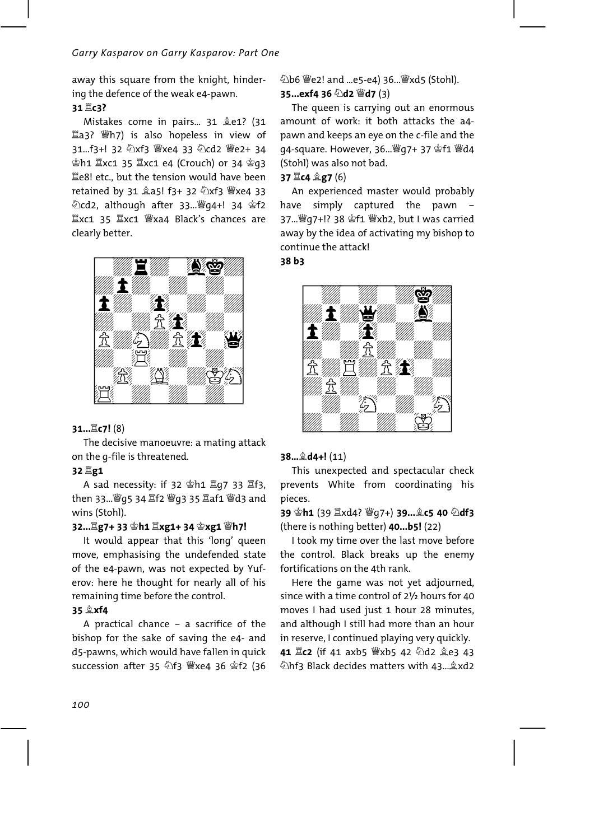away this square from the knight, hindering the defence of the weak e4-pawn.

## 31 耳c3?

Mistakes come in pairs... 31 &e1? (31 置a3? Wh7) is also hopeless in view of 31...f3+! 32 ②xf3 響xe4 33 ②cd2 響e2+ 34 **空h1 Ixc1 35 Ixc1 e4 (Crouch) or 34 空q3** Le8! etc., but the tension would have been retained by 31 2a5! f3+ 32 2xf3 Wyxe4 33 公cd2, although after 33... 曾q4+! 34 當f2  $\Xi$ xc1 35  $\Xi$ xc1 營xa4 Black's chances are clearly better.



## 31... LC7! (8)

The decisive manoeuvre: a mating attack on the q-file is threatened.

## 32 耳g1

then 33... *s*g 4 g f2 sq 35 gaf1 sq 3 and wins (Stohl).

## 32... g7+ 33 含h1 lxg1+ 34 含xg1 彎h7!

It would appear that this 'long' queen move, emphasising the undefended state of the e4-pawn, was not expected by Yuferov: here he thought for nearly all of his remaining time before the control.

### 35 **Lxf4**

A practical chance - a sacrifice of the bishop for the sake of saving the e4- and d5-pawns, which would have fallen in quick succession after 35 2f3 Wyxe4 36 \$f2 (36 ②b6 *We2!* and ...e5-e4) 36... Wxd5 (Stohl). 35...exf4 36 2d2 Wd7 (3)

The queen is carrying out an enormous amount of work: it both attacks the a4pawn and keeps an eye on the c-file and the q4-square. However, 36... |gr 4 37 查f1 |gr 44 (Stohl) was also not bad.

## 37  $\Xi$ c4  $\hat{\mathbb{Z}}$ g7 (6)

An experienced master would probably simply captured the pawn have away by the idea of activating my bishop to continue the attack!

38 b3



#### $38...$   $44!$   $(11)$

This unexpected and spectacular check prevents White from coordinating his pieces.

39 营h1 (39 罝xd4? 彎q7+) 39...敻c5 40 公df3 (there is nothing better) **40...b5!** (22)

I took my time over the last move before the control. Black breaks up the enemy fortifications on the 4th rank.

Here the game was not yet adjourned, since with a time control of 21/2 hours for 40 moves I had used just 1 hour 28 minutes. and although I still had more than an hour in reserve, I continued playing very quickly. 41 X c2 (if 41 axb5 W xb5 42 2d2 ge3 43 Dhf3 Black decides matters with 43... &xd2